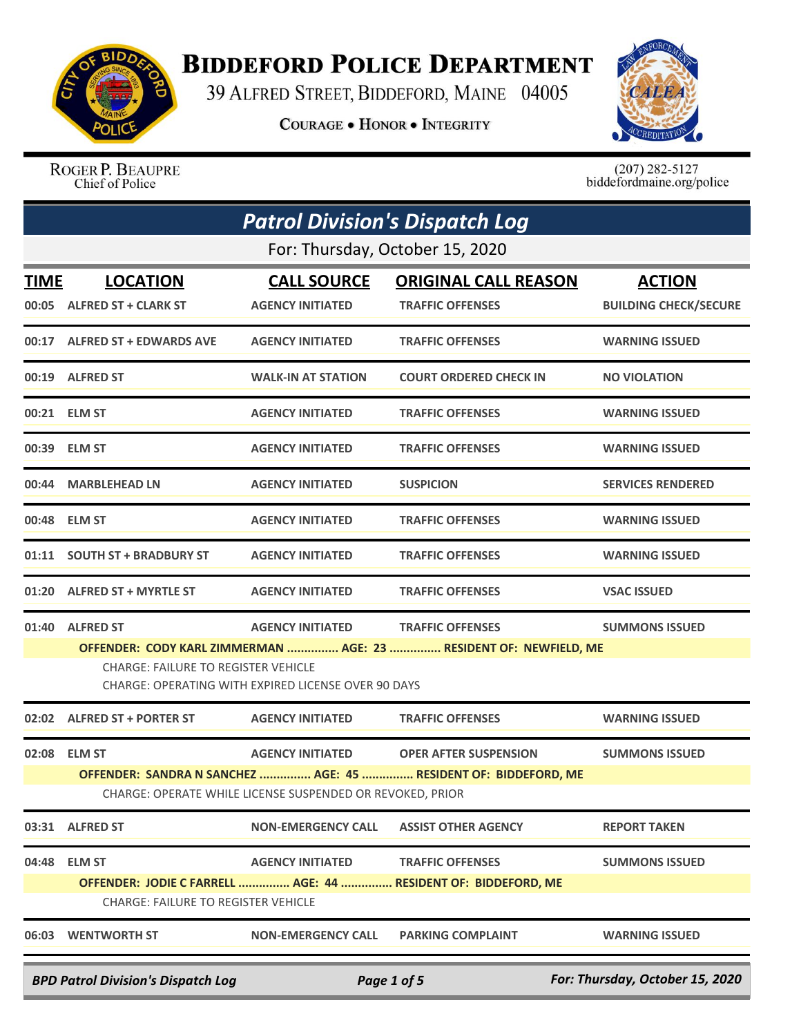

## **BIDDEFORD POLICE DEPARTMENT**

39 ALFRED STREET, BIDDEFORD, MAINE 04005

**COURAGE . HONOR . INTEGRITY** 



ROGER P. BEAUPRE Chief of Police

 $(207)$  282-5127<br>biddefordmaine.org/police

|             |                                                                                             | <b>Patrol Division's Dispatch Log</b>                     |                                                                                           |                                               |
|-------------|---------------------------------------------------------------------------------------------|-----------------------------------------------------------|-------------------------------------------------------------------------------------------|-----------------------------------------------|
|             |                                                                                             | For: Thursday, October 15, 2020                           |                                                                                           |                                               |
| <u>TIME</u> | <b>LOCATION</b><br>00:05 ALFRED ST + CLARK ST                                               | <b>CALL SOURCE</b><br><b>AGENCY INITIATED</b>             | <b>ORIGINAL CALL REASON</b><br><b>TRAFFIC OFFENSES</b>                                    | <b>ACTION</b><br><b>BUILDING CHECK/SECURE</b> |
|             | 00:17 ALFRED ST + EDWARDS AVE                                                               | <b>AGENCY INITIATED</b>                                   | <b>TRAFFIC OFFENSES</b>                                                                   | <b>WARNING ISSUED</b>                         |
|             | 00:19 ALFRED ST                                                                             | <b>WALK-IN AT STATION</b>                                 | <b>COURT ORDERED CHECK IN</b>                                                             | <b>NO VIOLATION</b>                           |
|             | 00:21 ELM ST                                                                                | <b>AGENCY INITIATED</b>                                   | <b>TRAFFIC OFFENSES</b>                                                                   | <b>WARNING ISSUED</b>                         |
|             | 00:39 ELM ST                                                                                | <b>AGENCY INITIATED</b>                                   | <b>TRAFFIC OFFENSES</b>                                                                   | <b>WARNING ISSUED</b>                         |
|             | 00:44 MARBLEHEAD LN                                                                         | <b>AGENCY INITIATED</b>                                   | <b>SUSPICION</b>                                                                          | <b>SERVICES RENDERED</b>                      |
|             | 00:48 ELM ST                                                                                | <b>AGENCY INITIATED</b>                                   | <b>TRAFFIC OFFENSES</b>                                                                   | <b>WARNING ISSUED</b>                         |
|             | 01:11 SOUTH ST + BRADBURY ST                                                                | <b>AGENCY INITIATED</b>                                   | <b>TRAFFIC OFFENSES</b>                                                                   | <b>WARNING ISSUED</b>                         |
|             | 01:20 ALFRED ST + MYRTLE ST                                                                 | <b>AGENCY INITIATED</b>                                   | <b>TRAFFIC OFFENSES</b>                                                                   | <b>VSAC ISSUED</b>                            |
|             | 01:40 ALFRED ST                                                                             | <b>AGENCY INITIATED</b>                                   | <b>TRAFFIC OFFENSES</b>                                                                   | <b>SUMMONS ISSUED</b>                         |
|             | <b>CHARGE: FAILURE TO REGISTER VEHICLE</b>                                                  | CHARGE: OPERATING WITH EXPIRED LICENSE OVER 90 DAYS       | OFFENDER: CODY KARL ZIMMERMAN  AGE: 23  RESIDENT OF: NEWFIELD, ME                         |                                               |
|             | 02:02 ALFRED ST + PORTER ST                                                                 | <b>AGENCY INITIATED</b>                                   | <b>TRAFFIC OFFENSES</b>                                                                   | <b>WARNING ISSUED</b>                         |
| 02:08       | <b>ELM ST</b>                                                                               | <b>AGENCY INITIATED</b>                                   | <b>OPER AFTER SUSPENSION</b>                                                              | <b>SUMMONS ISSUED</b>                         |
|             |                                                                                             | CHARGE: OPERATE WHILE LICENSE SUSPENDED OR REVOKED, PRIOR | OFFENDER: SANDRA N SANCHEZ  AGE: 45  RESIDENT OF: BIDDEFORD, ME                           |                                               |
|             | 03:31 ALFRED ST                                                                             | <b>NON-EMERGENCY CALL</b>                                 | <b>ASSIST OTHER AGENCY</b>                                                                | <b>REPORT TAKEN</b>                           |
|             | 04:48 ELM ST<br><b>CHARGE: FAILURE TO REGISTER VEHICLE</b>                                  | <b>AGENCY INITIATED</b>                                   | <b>TRAFFIC OFFENSES</b><br>OFFENDER: JODIE C FARRELL  AGE: 44  RESIDENT OF: BIDDEFORD, ME | <b>SUMMONS ISSUED</b>                         |
|             | 06:03 WENTWORTH ST                                                                          | <b>NON-EMERGENCY CALL</b>                                 | <b>PARKING COMPLAINT</b>                                                                  | <b>WARNING ISSUED</b>                         |
|             | For: Thursday, October 15, 2020<br><b>BPD Patrol Division's Dispatch Log</b><br>Page 1 of 5 |                                                           |                                                                                           |                                               |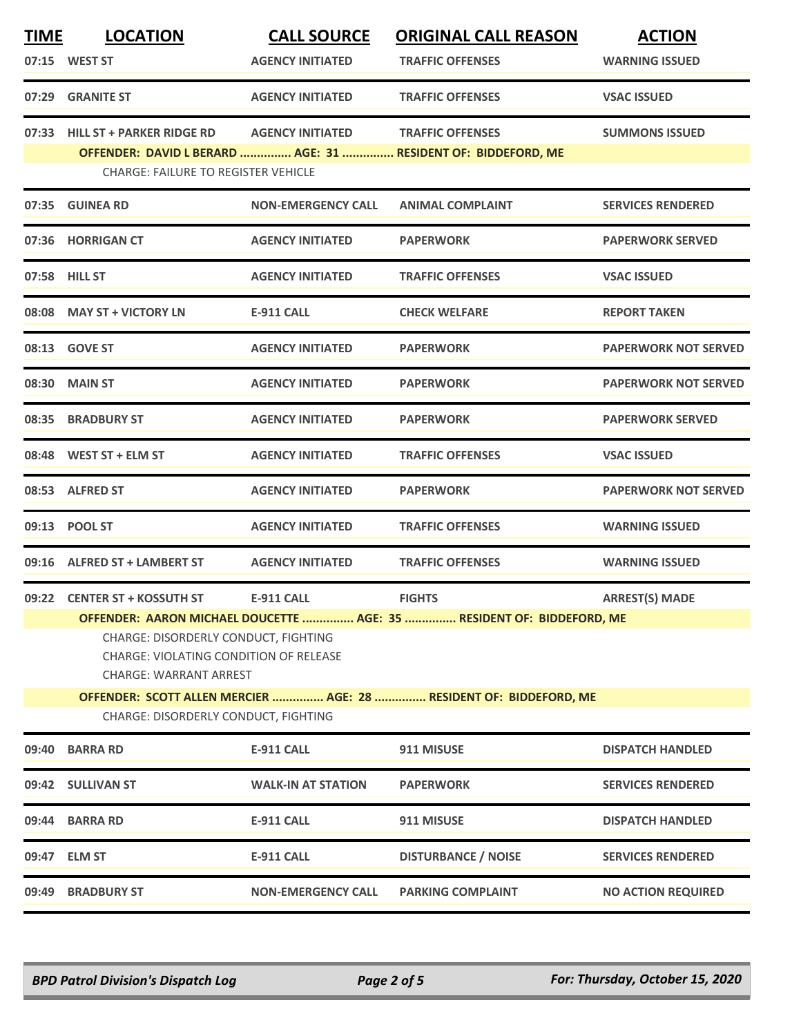| <b>TIME</b> | <b>LOCATION</b>                                                                                                 | <b>CALL SOURCE</b>        | <b>ORIGINAL CALL REASON</b>                                           | <b>ACTION</b>               |  |
|-------------|-----------------------------------------------------------------------------------------------------------------|---------------------------|-----------------------------------------------------------------------|-----------------------------|--|
|             | 07:15 WEST ST                                                                                                   | <b>AGENCY INITIATED</b>   | <b>TRAFFIC OFFENSES</b>                                               | <b>WARNING ISSUED</b>       |  |
| 07:29       | <b>GRANITE ST</b>                                                                                               | <b>AGENCY INITIATED</b>   | <b>TRAFFIC OFFENSES</b>                                               | <b>VSAC ISSUED</b>          |  |
| 07:33       | <b>HILL ST + PARKER RIDGE RD</b>                                                                                | <b>AGENCY INITIATED</b>   | <b>TRAFFIC OFFENSES</b>                                               | <b>SUMMONS ISSUED</b>       |  |
|             | <b>CHARGE: FAILURE TO REGISTER VEHICLE</b>                                                                      |                           | OFFENDER: DAVID L BERARD  AGE: 31  RESIDENT OF: BIDDEFORD, ME         |                             |  |
| 07:35       | <b>GUINEA RD</b>                                                                                                | <b>NON-EMERGENCY CALL</b> | <b>ANIMAL COMPLAINT</b>                                               | <b>SERVICES RENDERED</b>    |  |
|             | 07:36 HORRIGAN CT                                                                                               | <b>AGENCY INITIATED</b>   | <b>PAPERWORK</b>                                                      | <b>PAPERWORK SERVED</b>     |  |
|             | 07:58 HILL ST                                                                                                   | <b>AGENCY INITIATED</b>   | <b>TRAFFIC OFFENSES</b>                                               | <b>VSAC ISSUED</b>          |  |
|             | 08:08 MAY ST + VICTORY LN                                                                                       | <b>E-911 CALL</b>         | <b>CHECK WELFARE</b>                                                  | <b>REPORT TAKEN</b>         |  |
|             | 08:13 GOVE ST                                                                                                   | <b>AGENCY INITIATED</b>   | <b>PAPERWORK</b>                                                      | <b>PAPERWORK NOT SERVED</b> |  |
| 08:30       | <b>MAIN ST</b>                                                                                                  | <b>AGENCY INITIATED</b>   | <b>PAPERWORK</b>                                                      | <b>PAPERWORK NOT SERVED</b> |  |
|             | 08:35 BRADBURY ST                                                                                               | <b>AGENCY INITIATED</b>   | <b>PAPERWORK</b>                                                      | <b>PAPERWORK SERVED</b>     |  |
|             | 08:48 WEST ST + ELM ST                                                                                          | <b>AGENCY INITIATED</b>   | <b>TRAFFIC OFFENSES</b>                                               | <b>VSAC ISSUED</b>          |  |
|             | 08:53 ALFRED ST                                                                                                 | <b>AGENCY INITIATED</b>   | <b>PAPERWORK</b>                                                      | <b>PAPERWORK NOT SERVED</b> |  |
| 09:13       | <b>POOL ST</b>                                                                                                  | <b>AGENCY INITIATED</b>   | <b>TRAFFIC OFFENSES</b>                                               | <b>WARNING ISSUED</b>       |  |
|             | 09:16 ALFRED ST + LAMBERT ST                                                                                    | <b>AGENCY INITIATED</b>   | <b>TRAFFIC OFFENSES</b>                                               | <b>WARNING ISSUED</b>       |  |
|             | 09:22 CENTER ST + KOSSUTH ST                                                                                    | <b>E-911 CALL</b>         | <b>FIGHTS</b>                                                         | <b>ARREST(S) MADE</b>       |  |
|             |                                                                                                                 |                           | OFFENDER: AARON MICHAEL DOUCETTE  AGE: 35  RESIDENT OF: BIDDEFORD, ME |                             |  |
|             | CHARGE: DISORDERLY CONDUCT, FIGHTING<br>CHARGE: VIOLATING CONDITION OF RELEASE<br><b>CHARGE: WARRANT ARREST</b> |                           |                                                                       |                             |  |
|             |                                                                                                                 |                           | OFFENDER: SCOTT ALLEN MERCIER  AGE: 28  RESIDENT OF: BIDDEFORD, ME    |                             |  |
|             | CHARGE: DISORDERLY CONDUCT, FIGHTING                                                                            |                           |                                                                       |                             |  |
| 09:40       | <b>BARRA RD</b>                                                                                                 | <b>E-911 CALL</b>         | 911 MISUSE                                                            | <b>DISPATCH HANDLED</b>     |  |
| 09:42       | <b>SULLIVAN ST</b>                                                                                              | <b>WALK-IN AT STATION</b> | <b>PAPERWORK</b>                                                      | <b>SERVICES RENDERED</b>    |  |
| 09:44       | <b>BARRA RD</b>                                                                                                 | <b>E-911 CALL</b>         | 911 MISUSE                                                            | <b>DISPATCH HANDLED</b>     |  |
|             | 09:47 ELM ST                                                                                                    | <b>E-911 CALL</b>         | <b>DISTURBANCE / NOISE</b>                                            | <b>SERVICES RENDERED</b>    |  |
| 09:49       | <b>BRADBURY ST</b>                                                                                              | <b>NON-EMERGENCY CALL</b> | <b>PARKING COMPLAINT</b>                                              | <b>NO ACTION REQUIRED</b>   |  |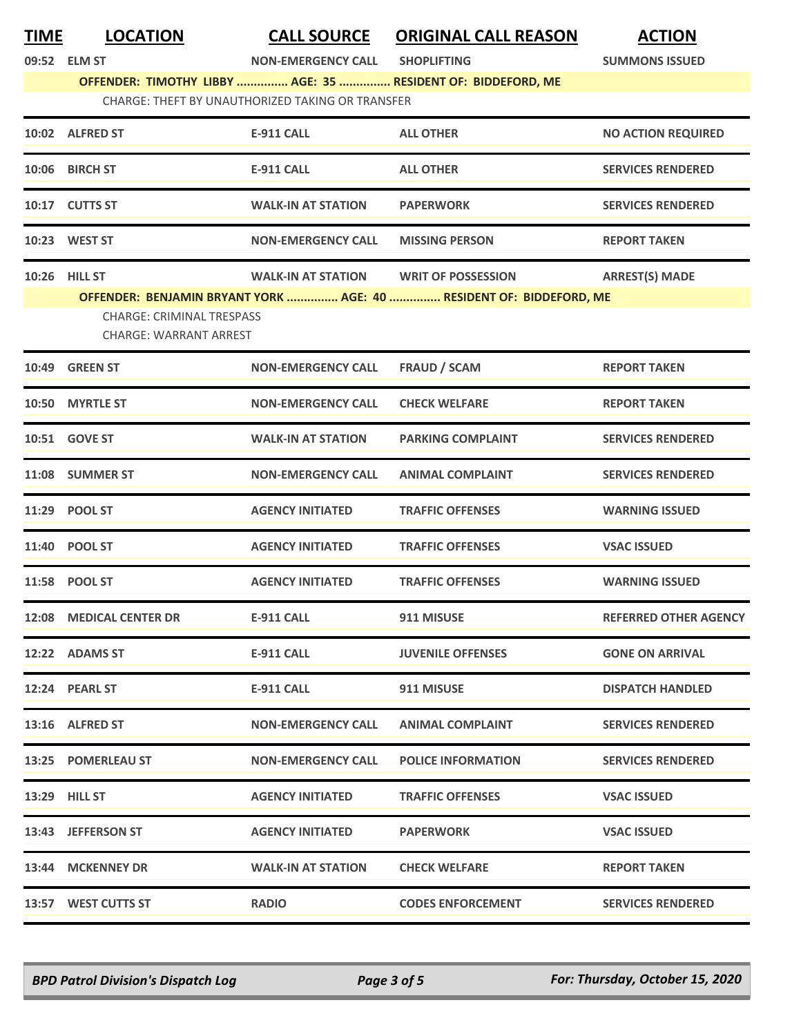| <b>TIME</b> | <b>LOCATION</b><br>09:52 ELM ST                                   | <b>CALL SOURCE</b><br><b>NON-EMERGENCY CALL</b>         | <b>ORIGINAL CALL REASON</b><br><b>SHOPLIFTING</b>                   | <b>ACTION</b><br><b>SUMMONS ISSUED</b> |
|-------------|-------------------------------------------------------------------|---------------------------------------------------------|---------------------------------------------------------------------|----------------------------------------|
|             |                                                                   | <b>CHARGE: THEFT BY UNAUTHORIZED TAKING OR TRANSFER</b> | OFFENDER: TIMOTHY LIBBY  AGE: 35  RESIDENT OF: BIDDEFORD, ME        |                                        |
|             |                                                                   |                                                         |                                                                     |                                        |
|             | 10:02 ALFRED ST                                                   | <b>E-911 CALL</b>                                       | <b>ALL OTHER</b>                                                    | <b>NO ACTION REQUIRED</b>              |
|             | 10:06 BIRCH ST                                                    | <b>E-911 CALL</b>                                       | <b>ALL OTHER</b>                                                    | <b>SERVICES RENDERED</b>               |
|             | 10:17 CUTTS ST                                                    | <b>WALK-IN AT STATION</b>                               | <b>PAPERWORK</b>                                                    | <b>SERVICES RENDERED</b>               |
|             | 10:23 WEST ST                                                     | <b>NON-EMERGENCY CALL</b>                               | <b>MISSING PERSON</b>                                               | <b>REPORT TAKEN</b>                    |
|             | 10:26 HILL ST                                                     | <b>WALK-IN AT STATION</b>                               | <b>WRIT OF POSSESSION</b>                                           | <b>ARREST(S) MADE</b>                  |
|             | <b>CHARGE: CRIMINAL TRESPASS</b><br><b>CHARGE: WARRANT ARREST</b> |                                                         | OFFENDER: BENJAMIN BRYANT YORK  AGE: 40  RESIDENT OF: BIDDEFORD, ME |                                        |
|             | 10:49 GREEN ST                                                    | <b>NON-EMERGENCY CALL</b>                               | FRAUD / SCAM                                                        | <b>REPORT TAKEN</b>                    |
|             | 10:50 MYRTLE ST                                                   | <b>NON-EMERGENCY CALL</b>                               | <b>CHECK WELFARE</b>                                                | <b>REPORT TAKEN</b>                    |
|             | 10:51 GOVE ST                                                     | <b>WALK-IN AT STATION</b>                               | <b>PARKING COMPLAINT</b>                                            | <b>SERVICES RENDERED</b>               |
|             | 11:08 SUMMER ST                                                   | <b>NON-EMERGENCY CALL</b>                               | <b>ANIMAL COMPLAINT</b>                                             | <b>SERVICES RENDERED</b>               |
|             | 11:29 POOL ST                                                     | <b>AGENCY INITIATED</b>                                 | <b>TRAFFIC OFFENSES</b>                                             | <b>WARNING ISSUED</b>                  |
|             | 11:40 POOL ST                                                     | <b>AGENCY INITIATED</b>                                 | <b>TRAFFIC OFFENSES</b>                                             | <b>VSAC ISSUED</b>                     |
|             | 11:58 POOL ST                                                     | <b>AGENCY INITIATED</b>                                 | <b>TRAFFIC OFFENSES</b>                                             | <b>WARNING ISSUED</b>                  |
|             | 12:08 MEDICAL CENTER DR                                           | <b>E-911 CALL</b>                                       | 911 MISUSE                                                          | <b>REFERRED OTHER AGENCY</b>           |
|             | 12:22 ADAMS ST                                                    | <b>E-911 CALL</b>                                       | <b>JUVENILE OFFENSES</b>                                            | <b>GONE ON ARRIVAL</b>                 |
|             | 12:24 PEARL ST                                                    | E-911 CALL                                              | 911 MISUSE                                                          | <b>DISPATCH HANDLED</b>                |
|             | 13:16 ALFRED ST                                                   | <b>NON-EMERGENCY CALL</b>                               | <b>ANIMAL COMPLAINT</b>                                             | <b>SERVICES RENDERED</b>               |
|             | 13:25 POMERLEAU ST                                                | <b>NON-EMERGENCY CALL</b>                               | <b>POLICE INFORMATION</b>                                           | <b>SERVICES RENDERED</b>               |
|             | 13:29 HILL ST                                                     | <b>AGENCY INITIATED</b>                                 | <b>TRAFFIC OFFENSES</b>                                             | <b>VSAC ISSUED</b>                     |
|             | 13:43 JEFFERSON ST                                                | <b>AGENCY INITIATED</b>                                 | <b>PAPERWORK</b>                                                    | <b>VSAC ISSUED</b>                     |
|             | 13:44 MCKENNEY DR                                                 | <b>WALK-IN AT STATION</b>                               | <b>CHECK WELFARE</b>                                                | <b>REPORT TAKEN</b>                    |
|             | 13:57 WEST CUTTS ST                                               | <b>RADIO</b>                                            | <b>CODES ENFORCEMENT</b>                                            | <b>SERVICES RENDERED</b>               |

*BPD Patrol Division's Dispatch Log Page 3 of 5 For: Thursday, October 15, 2020*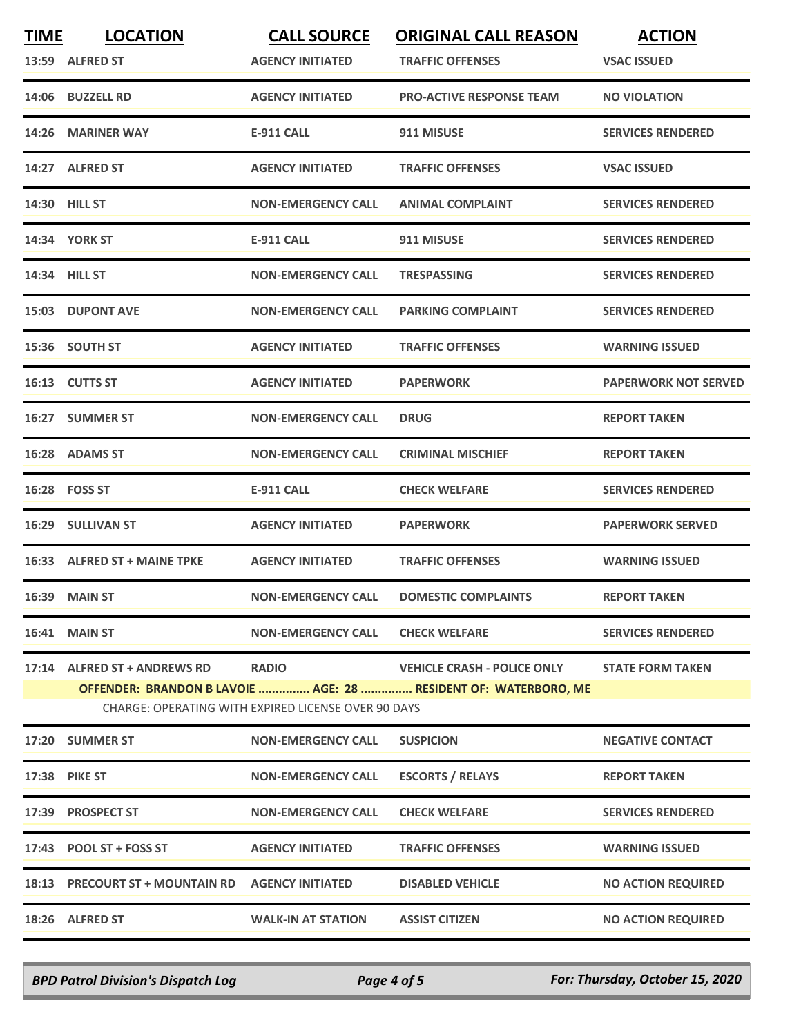| <b>TIME</b> | <b>LOCATION</b>                                  | <b>CALL SOURCE</b>                                  | <b>ORIGINAL CALL REASON</b>                                     | <b>ACTION</b>               |
|-------------|--------------------------------------------------|-----------------------------------------------------|-----------------------------------------------------------------|-----------------------------|
|             | 13:59 ALFRED ST                                  | <b>AGENCY INITIATED</b>                             | <b>TRAFFIC OFFENSES</b>                                         | <b>VSAC ISSUED</b>          |
|             | 14:06 BUZZELL RD                                 | <b>AGENCY INITIATED</b>                             | <b>PRO-ACTIVE RESPONSE TEAM</b>                                 | <b>NO VIOLATION</b>         |
|             | 14:26 MARINER WAY                                | <b>E-911 CALL</b>                                   | 911 MISUSE                                                      | <b>SERVICES RENDERED</b>    |
|             | 14:27 ALFRED ST                                  | <b>AGENCY INITIATED</b>                             | <b>TRAFFIC OFFENSES</b>                                         | <b>VSAC ISSUED</b>          |
|             | <b>14:30 HILL ST</b>                             | <b>NON-EMERGENCY CALL</b>                           | <b>ANIMAL COMPLAINT</b>                                         | <b>SERVICES RENDERED</b>    |
|             | <b>14:34 YORK ST</b>                             | <b>E-911 CALL</b>                                   | 911 MISUSE                                                      | <b>SERVICES RENDERED</b>    |
|             | 14:34 HILL ST                                    | <b>NON-EMERGENCY CALL</b>                           | <b>TRESPASSING</b>                                              | <b>SERVICES RENDERED</b>    |
|             | <b>15:03 DUPONT AVE</b>                          | <b>NON-EMERGENCY CALL</b>                           | <b>PARKING COMPLAINT</b>                                        | <b>SERVICES RENDERED</b>    |
|             | 15:36 SOUTH ST                                   | <b>AGENCY INITIATED</b>                             | <b>TRAFFIC OFFENSES</b>                                         | <b>WARNING ISSUED</b>       |
|             | 16:13 CUTTS ST                                   | <b>AGENCY INITIATED</b>                             | <b>PAPERWORK</b>                                                | <b>PAPERWORK NOT SERVED</b> |
|             | 16:27 SUMMER ST                                  | <b>NON-EMERGENCY CALL</b>                           | <b>DRUG</b>                                                     | <b>REPORT TAKEN</b>         |
|             | 16:28 ADAMS ST                                   | <b>NON-EMERGENCY CALL</b>                           | <b>CRIMINAL MISCHIEF</b>                                        | <b>REPORT TAKEN</b>         |
|             | 16:28 FOSS ST                                    | <b>E-911 CALL</b>                                   | <b>CHECK WELFARE</b>                                            | <b>SERVICES RENDERED</b>    |
|             | <b>16:29 SULLIVAN ST</b>                         | <b>AGENCY INITIATED</b>                             | <b>PAPERWORK</b>                                                | <b>PAPERWORK SERVED</b>     |
|             | 16:33 ALFRED ST + MAINE TPKE                     | <b>AGENCY INITIATED</b>                             | <b>TRAFFIC OFFENSES</b>                                         | <b>WARNING ISSUED</b>       |
|             | 16:39 MAIN ST                                    | <b>NON-EMERGENCY CALL</b>                           | <b>DOMESTIC COMPLAINTS</b>                                      | <b>REPORT TAKEN</b>         |
|             | 16:41 MAIN ST                                    | <b>NON-EMERGENCY CALL</b>                           | <b>CHECK WELFARE</b>                                            | <b>SERVICES RENDERED</b>    |
|             | 17:14 ALFRED ST + ANDREWS RD                     | <b>RADIO</b>                                        | <b>VEHICLE CRASH - POLICE ONLY</b>                              | <b>STATE FORM TAKEN</b>     |
|             |                                                  |                                                     | OFFENDER: BRANDON B LAVOIE  AGE: 28  RESIDENT OF: WATERBORO, ME |                             |
|             |                                                  | CHARGE: OPERATING WITH EXPIRED LICENSE OVER 90 DAYS |                                                                 |                             |
|             | 17:20 SUMMER ST                                  | <b>NON-EMERGENCY CALL</b>                           | <b>SUSPICION</b>                                                | <b>NEGATIVE CONTACT</b>     |
|             | <b>17:38 PIKE ST</b>                             | <b>NON-EMERGENCY CALL</b>                           | <b>ESCORTS / RELAYS</b>                                         | <b>REPORT TAKEN</b>         |
|             | 17:39 PROSPECT ST                                | <b>NON-EMERGENCY CALL</b>                           | <b>CHECK WELFARE</b>                                            | <b>SERVICES RENDERED</b>    |
|             | 17:43 POOL ST + FOSS ST                          | <b>AGENCY INITIATED</b>                             | <b>TRAFFIC OFFENSES</b>                                         | <b>WARNING ISSUED</b>       |
|             | 18:13 PRECOURT ST + MOUNTAIN RD AGENCY INITIATED |                                                     | <b>DISABLED VEHICLE</b>                                         | <b>NO ACTION REQUIRED</b>   |
|             | 18:26 ALFRED ST                                  | <b>WALK-IN AT STATION</b>                           | <b>ASSIST CITIZEN</b>                                           | <b>NO ACTION REQUIRED</b>   |
|             |                                                  |                                                     |                                                                 |                             |

*BPD Patrol Division's Dispatch Log Page 4 of 5 For: Thursday, October 15, 2020*